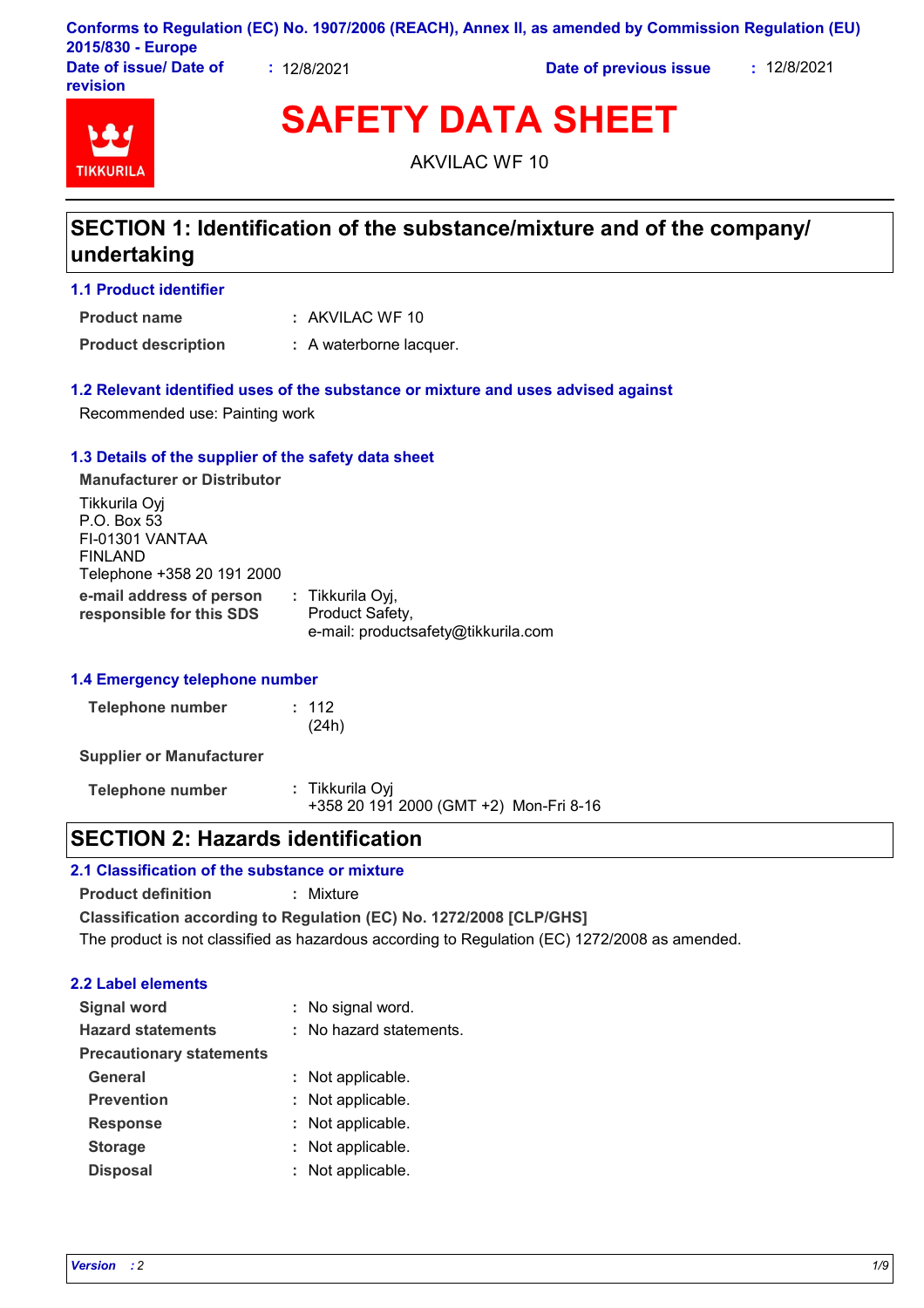|                                    |           | Conforms to Regulation (EC) No. 1907/2006 (REACH), Annex II, as amended by Commission Regulation (EU) |             |
|------------------------------------|-----------|-------------------------------------------------------------------------------------------------------|-------------|
| 2015/830 - Europe                  |           |                                                                                                       |             |
| Date of issue/ Date of<br>revision | 12/8/2021 | Date of previous issue                                                                                | : 12/8/2021 |

# **TIKKURIL**

**SAFETY DATA SHEET**

AKVILAC WF 10

# **SECTION 1: Identification of the substance/mixture and of the company/ undertaking**

### **1.1 Product identifier**

AKVILAC WF 10 **: Product name**

**Product description :** A waterborne lacquer.

### **1.2 Relevant identified uses of the substance or mixture and uses advised against**

Recommended use: Painting work

### **1.3 Details of the supplier of the safety data sheet**

**e-mail address of person responsible for this SDS :** Tikkurila Oyj, Product Safety, e-mail: productsafety@tikkurila.com **Manufacturer or Distributor** Tikkurila Oyj P.O. Box 53 FI-01301 VANTAA FINLAND Telephone +358 20 191 2000

### **1.4 Emergency telephone number**

| Telephone number | : 112 |
|------------------|-------|
|                  | (24h) |

**Supplier or Manufacturer**

**Telephone number :** Tikkurila Oyj +358 20 191 2000 (GMT +2) Mon-Fri 8-16

### **SECTION 2: Hazards identification**

### **2.1 Classification of the substance or mixture**

**Product definition :** Mixture

**Classification according to Regulation (EC) No. 1272/2008 [CLP/GHS]** The product is not classified as hazardous according to Regulation (EC) 1272/2008 as amended.

### **2.2 Label elements**

| <b>Signal word</b>              | : No signal word.       |
|---------------------------------|-------------------------|
| <b>Hazard statements</b>        | : No hazard statements. |
| <b>Precautionary statements</b> |                         |
| General                         | : Not applicable.       |
| <b>Prevention</b>               | : Not applicable.       |
| <b>Response</b>                 | : Not applicable.       |
| <b>Storage</b>                  | : Not applicable.       |
| <b>Disposal</b>                 | : Not applicable.       |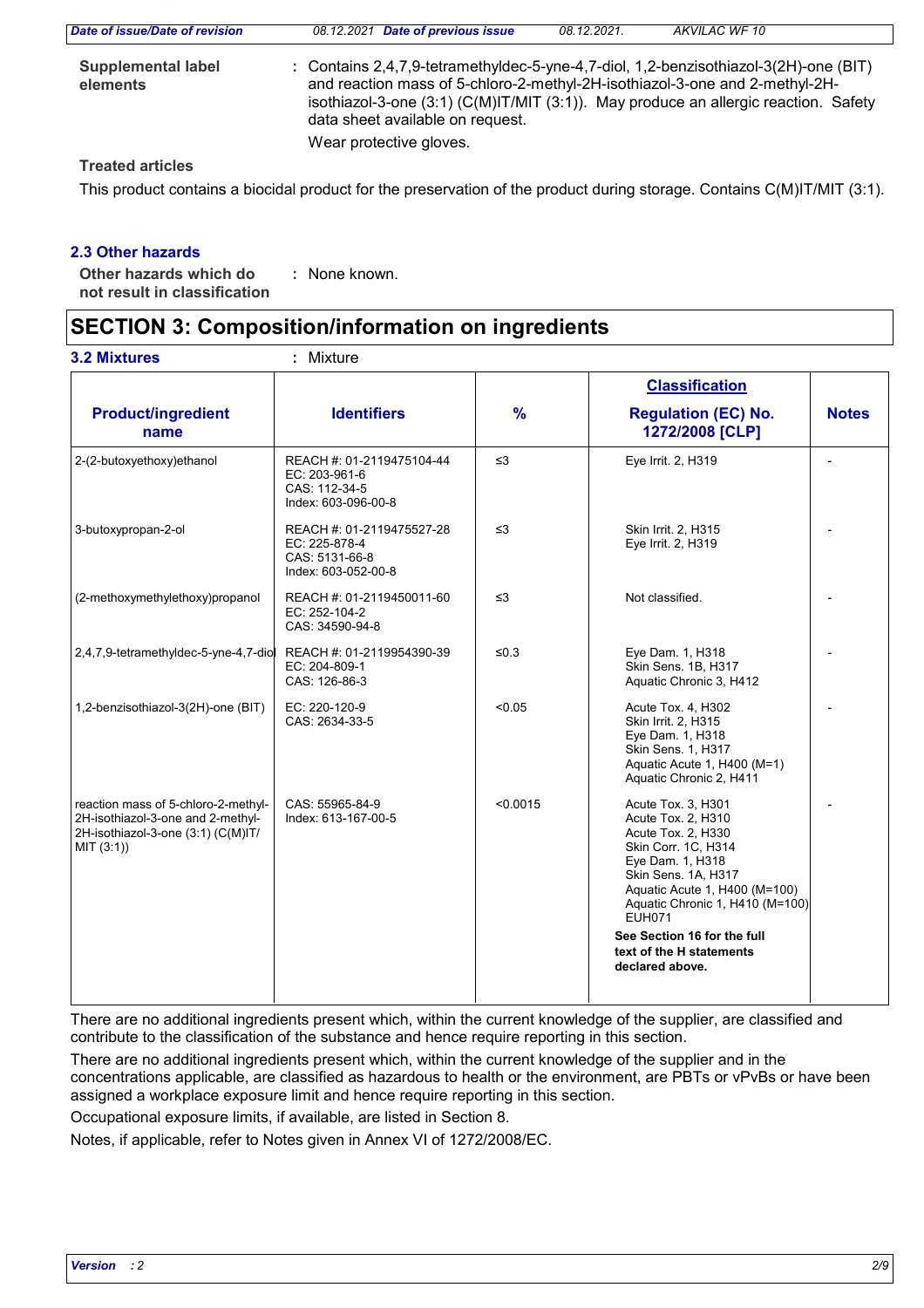| Date of issue/Date of revision        | 08.12.2021 Date of previous issue                                                                                                                                                                                                                                                                                              | 08.12.2021. | AKVILAC WF 10 |  |
|---------------------------------------|--------------------------------------------------------------------------------------------------------------------------------------------------------------------------------------------------------------------------------------------------------------------------------------------------------------------------------|-------------|---------------|--|
| <b>Supplemental label</b><br>elements | : Contains 2,4,7,9-tetramethyldec-5-yne-4,7-diol, 1,2-benzisothiazol-3(2H)-one (BIT)<br>and reaction mass of 5-chloro-2-methyl-2H-isothiazol-3-one and 2-methyl-2H-<br>isothiazol-3-one $(3:1)$ (C(M)IT/MIT $(3:1)$ ). May produce an allergic reaction. Safety<br>data sheet available on request.<br>Wear protective gloves. |             |               |  |
|                                       |                                                                                                                                                                                                                                                                                                                                |             |               |  |

### **Treated articles**

This product contains a biocidal product for the preservation of the product during storage. Contains C(M)IT/MIT (3:1).

### **2.3 Other hazards**

**Other hazards which do : not result in classification** : None known.

# **SECTION 3: Composition/information on ingredients**

|                                                                                                                              |                                                                                     |               | <b>Classification</b>                                                                                                                                                                                                                                |              |
|------------------------------------------------------------------------------------------------------------------------------|-------------------------------------------------------------------------------------|---------------|------------------------------------------------------------------------------------------------------------------------------------------------------------------------------------------------------------------------------------------------------|--------------|
| <b>Product/ingredient</b><br>name                                                                                            | <b>Identifiers</b>                                                                  | $\frac{9}{6}$ | <b>Regulation (EC) No.</b><br>1272/2008 [CLP]                                                                                                                                                                                                        | <b>Notes</b> |
| 2-(2-butoxyethoxy)ethanol                                                                                                    | REACH #: 01-2119475104-44<br>EC: 203-961-6<br>CAS: 112-34-5<br>Index: 603-096-00-8  | $\leq$ 3      | Eye Irrit. 2, H319                                                                                                                                                                                                                                   |              |
| 3-butoxypropan-2-ol                                                                                                          | REACH #: 01-2119475527-28<br>EC: 225-878-4<br>CAS: 5131-66-8<br>Index: 603-052-00-8 | $\leq$ 3      | Skin Irrit. 2, H315<br>Eye Irrit. 2, H319                                                                                                                                                                                                            |              |
| (2-methoxymethylethoxy)propanol                                                                                              | REACH #: 01-2119450011-60<br>EC: 252-104-2<br>CAS: 34590-94-8                       | $\leq$ 3      | Not classified.                                                                                                                                                                                                                                      |              |
| 2,4,7,9-tetramethyldec-5-yne-4,7-diol                                                                                        | REACH #: 01-2119954390-39<br>EC: 204-809-1<br>CAS: 126-86-3                         | $≤0.3$        | Eye Dam. 1, H318<br>Skin Sens. 1B, H317<br>Aquatic Chronic 3, H412                                                                                                                                                                                   |              |
| 1,2-benzisothiazol-3(2H)-one (BIT)                                                                                           | EC: 220-120-9<br>CAS: 2634-33-5                                                     | < 0.05        | Acute Tox. 4, H302<br>Skin Irrit. 2, H315<br>Eye Dam. 1, H318<br>Skin Sens. 1, H317<br>Aquatic Acute 1, H400 (M=1)<br>Aquatic Chronic 2, H411                                                                                                        |              |
| reaction mass of 5-chloro-2-methyl-<br>2H-isothiazol-3-one and 2-methyl-<br>2H-isothiazol-3-one (3:1) (C(M)IT/<br>MIT (3:1)) | CAS: 55965-84-9<br>Index: 613-167-00-5                                              | < 0.0015      | Acute Tox. 3, H301<br>Acute Tox. 2, H310<br>Acute Tox. 2, H330<br>Skin Corr. 1C, H314<br>Eye Dam. 1, H318<br>Skin Sens. 1A, H317<br>Aquatic Acute 1, H400 (M=100)<br>Aquatic Chronic 1, H410 (M=100)<br><b>EUH071</b><br>See Section 16 for the full |              |
|                                                                                                                              |                                                                                     |               | text of the H statements<br>declared above.                                                                                                                                                                                                          |              |

There are no additional ingredients present which, within the current knowledge of the supplier, are classified and contribute to the classification of the substance and hence require reporting in this section.

There are no additional ingredients present which, within the current knowledge of the supplier and in the concentrations applicable, are classified as hazardous to health or the environment, are PBTs or vPvBs or have been assigned a workplace exposure limit and hence require reporting in this section.

Occupational exposure limits, if available, are listed in Section 8.

Notes, if applicable, refer to Notes given in Annex VI of 1272/2008/EC.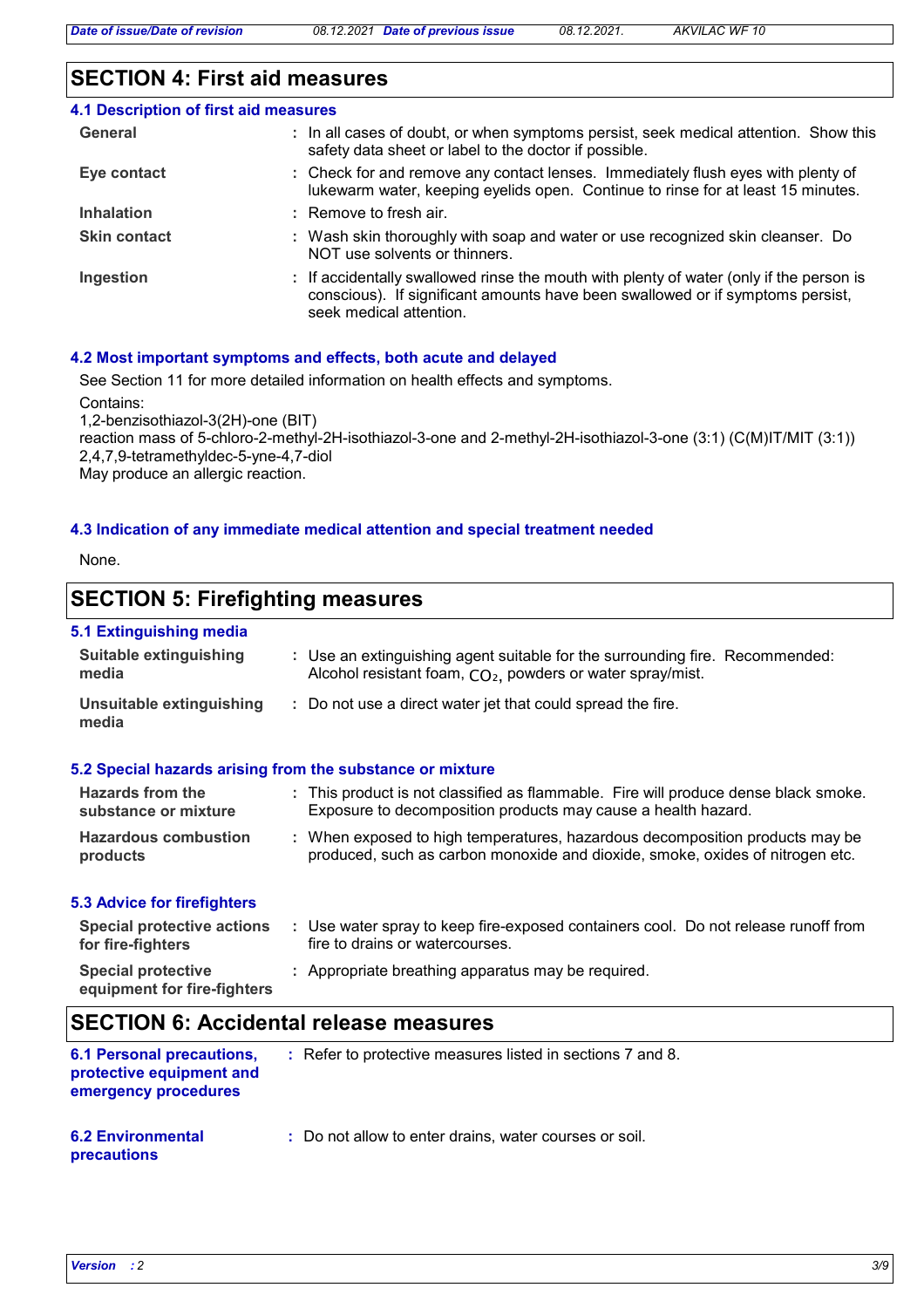# **SECTION 4: First aid measures**

| <b>4.1 Description of first aid measures</b> |                                                                                                                                                                                                      |
|----------------------------------------------|------------------------------------------------------------------------------------------------------------------------------------------------------------------------------------------------------|
| General                                      | : In all cases of doubt, or when symptoms persist, seek medical attention. Show this<br>safety data sheet or label to the doctor if possible.                                                        |
| Eye contact                                  | : Check for and remove any contact lenses. Immediately flush eyes with plenty of<br>lukewarm water, keeping eyelids open. Continue to rinse for at least 15 minutes.                                 |
| <b>Inhalation</b>                            | $:$ Remove to fresh air.                                                                                                                                                                             |
| <b>Skin contact</b>                          | : Wash skin thoroughly with soap and water or use recognized skin cleanser. Do<br>NOT use solvents or thinners.                                                                                      |
| Ingestion                                    | : If accidentally swallowed rinse the mouth with plenty of water (only if the person is<br>conscious). If significant amounts have been swallowed or if symptoms persist,<br>seek medical attention. |

### **4.2 Most important symptoms and effects, both acute and delayed**

See Section 11 for more detailed information on health effects and symptoms.

Contains:

1,2-benzisothiazol-3(2H)-one (BIT)

reaction mass of 5-chloro-2-methyl-2H-isothiazol-3-one and 2-methyl-2H-isothiazol-3-one (3:1) (C(M)IT/MIT (3:1)) 2,4,7,9-tetramethyldec-5-yne-4,7-diol May produce an allergic reaction.

### **4.3 Indication of any immediate medical attention and special treatment needed**

None.

# **SECTION 5: Firefighting measures**

### **5.1 Extinguishing media**

| <u>o. Launguionniq modia</u>                           |                                                                                                                                                               |
|--------------------------------------------------------|---------------------------------------------------------------------------------------------------------------------------------------------------------------|
| <b>Suitable extinguishing</b><br>media                 | : Use an extinguishing agent suitable for the surrounding fire. Recommended:<br>Alcohol resistant foam, CO <sub>2</sub> , powders or water spray/mist.        |
| Unsuitable extinguishing<br>media                      | : Do not use a direct water jet that could spread the fire.                                                                                                   |
|                                                        | 5.2 Special hazards arising from the substance or mixture                                                                                                     |
| Hazards from the<br>substance or mixture               | : This product is not classified as flammable. Fire will produce dense black smoke.<br>Exposure to decomposition products may cause a health hazard.          |
| <b>Hazardous combustion</b><br>products                | : When exposed to high temperatures, hazardous decomposition products may be<br>produced, such as carbon monoxide and dioxide, smoke, oxides of nitrogen etc. |
| <b>5.3 Advice for firefighters</b>                     |                                                                                                                                                               |
| <b>Special protective actions</b><br>for fire-fighters | : Use water spray to keep fire-exposed containers cool. Do not release runoff from<br>fire to drains or watercourses.                                         |
| <b>Special protective</b>                              | : Appropriate breathing apparatus may be required.                                                                                                            |

### **equipment for fire-fighters**

# **SECTION 6: Accidental release measures**

| <b>6.1 Personal precautions,</b><br>protective equipment and<br>emergency procedures | : Refer to protective measures listed in sections 7 and 8. |
|--------------------------------------------------------------------------------------|------------------------------------------------------------|
| <b>6.2 Environmental</b>                                                             | : Do not allow to enter drains, water courses or soil.     |

### **precautions**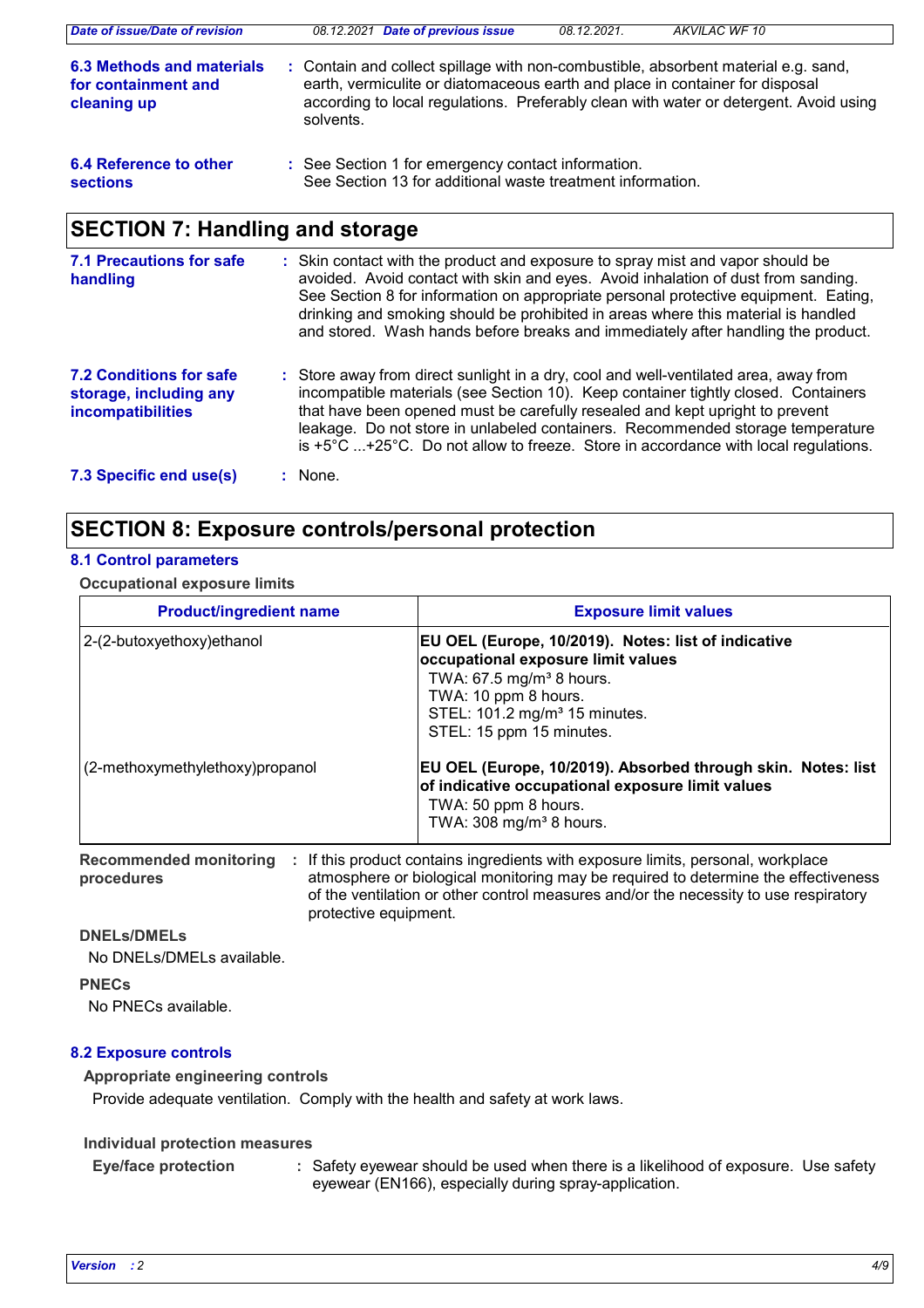| Date of issue/Date of revision                                  | 08.12.2021 Date of previous issue                                                                                                                                                                                                                                        | 08.12.2021. | AKVILAC WF 10 |
|-----------------------------------------------------------------|--------------------------------------------------------------------------------------------------------------------------------------------------------------------------------------------------------------------------------------------------------------------------|-------------|---------------|
| 6.3 Methods and materials<br>for containment and<br>cleaning up | : Contain and collect spillage with non-combustible, absorbent material e.g. sand,<br>earth, vermiculite or diatomaceous earth and place in container for disposal<br>according to local regulations. Preferably clean with water or detergent. Avoid using<br>solvents. |             |               |
| 6.4 Reference to other<br><b>sections</b>                       | : See Section 1 for emergency contact information.<br>See Section 13 for additional waste treatment information.                                                                                                                                                         |             |               |
| <b>SECTION 7: Handling and storage</b>                          |                                                                                                                                                                                                                                                                          |             |               |

| <b>7.1 Precautions for safe</b><br>handling                                          | : Skin contact with the product and exposure to spray mist and vapor should be<br>avoided. Avoid contact with skin and eyes. Avoid inhalation of dust from sanding.<br>See Section 8 for information on appropriate personal protective equipment. Eating,<br>drinking and smoking should be prohibited in areas where this material is handled<br>and stored. Wash hands before breaks and immediately after handling the product.                     |
|--------------------------------------------------------------------------------------|---------------------------------------------------------------------------------------------------------------------------------------------------------------------------------------------------------------------------------------------------------------------------------------------------------------------------------------------------------------------------------------------------------------------------------------------------------|
| <b>7.2 Conditions for safe</b><br>storage, including any<br><b>incompatibilities</b> | : Store away from direct sunlight in a dry, cool and well-ventilated area, away from<br>incompatible materials (see Section 10). Keep container tightly closed. Containers<br>that have been opened must be carefully resealed and kept upright to prevent<br>leakage. Do not store in unlabeled containers. Recommended storage temperature<br>is $+5^{\circ}$ C +25 $^{\circ}$ C. Do not allow to freeze. Store in accordance with local regulations. |
| 7.3 Specific end use(s)                                                              | : None.                                                                                                                                                                                                                                                                                                                                                                                                                                                 |

# **SECTION 8: Exposure controls/personal protection**

### **8.1 Control parameters**

**Occupational exposure limits**

| <b>Product/ingredient name</b>  | <b>Exposure limit values</b>                                                                                                                                                                                                         |
|---------------------------------|--------------------------------------------------------------------------------------------------------------------------------------------------------------------------------------------------------------------------------------|
| 2-(2-butoxyethoxy)ethanol       | EU OEL (Europe, 10/2019). Notes: list of indicative<br>occupational exposure limit values<br>TWA: $67.5$ mg/m <sup>3</sup> 8 hours.<br>TWA: 10 ppm 8 hours.<br>STEL: 101.2 mg/m <sup>3</sup> 15 minutes.<br>STEL: 15 ppm 15 minutes. |
| (2-methoxymethylethoxy)propanol | EU OEL (Europe, 10/2019). Absorbed through skin. Notes: list<br>of indicative occupational exposure limit values<br>TWA: 50 ppm 8 hours.<br>TWA: $308$ mg/m <sup>3</sup> 8 hours.                                                    |

**Recommended monitoring**  If this product contains ingredients with exposure limits, personal, workplace **: procedures** atmosphere or biological monitoring may be required to determine the effectiveness of the ventilation or other control measures and/or the necessity to use respiratory protective equipment.

**DNELs/DMELs**

No DNELs/DMELs available.

### **PNECs**

No PNECs available.

### **8.2 Exposure controls**

### **Appropriate engineering controls**

Provide adequate ventilation. Comply with the health and safety at work laws.

### **Individual protection measures**

**Eye/face protection :**

Safety eyewear should be used when there is a likelihood of exposure. Use safety eyewear (EN166), especially during spray-application.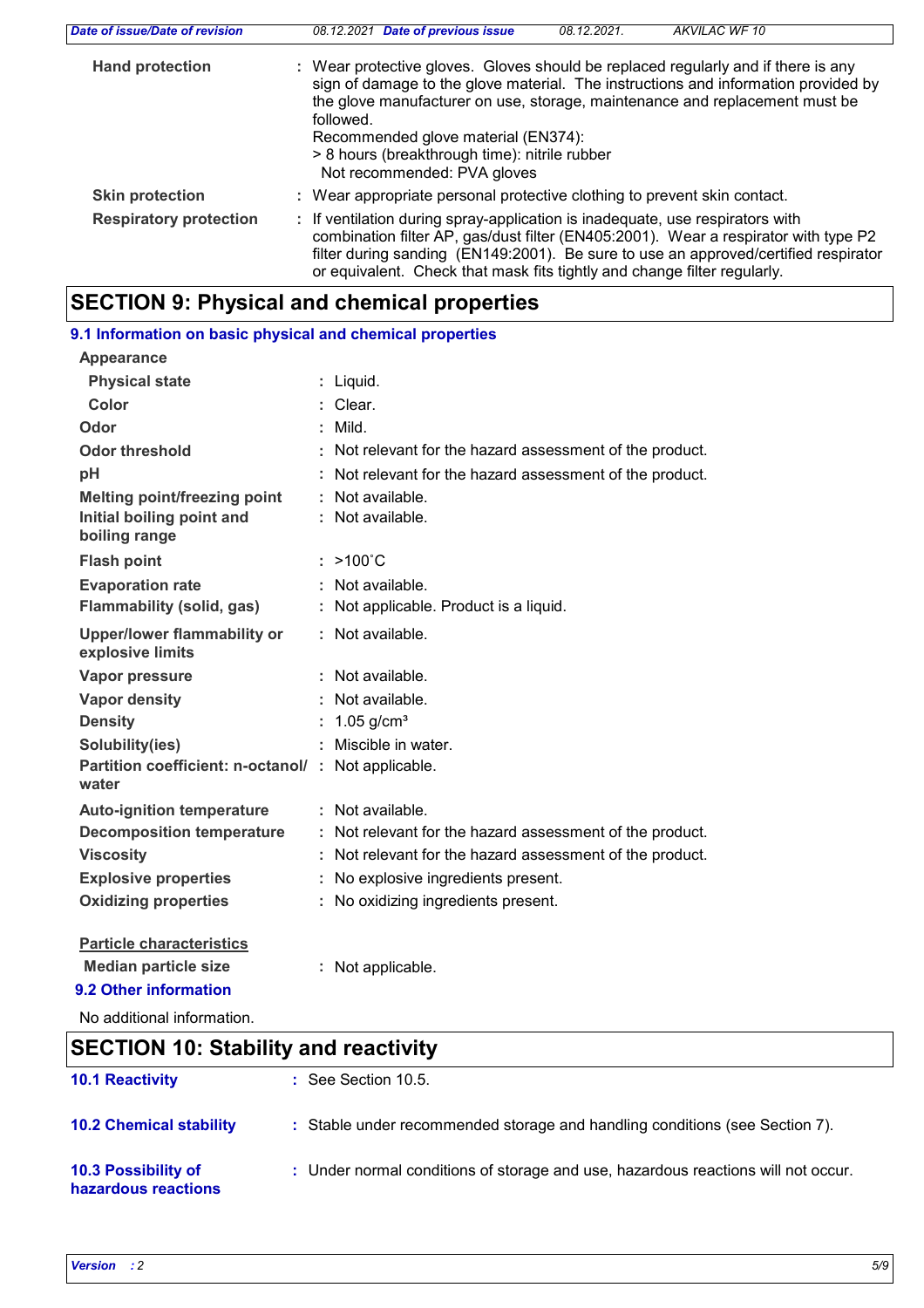| Date of issue/Date of revision | <b>Date of previous issue</b><br>AKVILAC WF 10<br>08.12.2021.<br>08.12.2021                                                                                                                                                                                                                                                                                                                |  |
|--------------------------------|--------------------------------------------------------------------------------------------------------------------------------------------------------------------------------------------------------------------------------------------------------------------------------------------------------------------------------------------------------------------------------------------|--|
| <b>Hand protection</b>         | : Wear protective gloves. Gloves should be replaced regularly and if there is any<br>sign of damage to the glove material. The instructions and information provided by<br>the glove manufacturer on use, storage, maintenance and replacement must be<br>followed.<br>Recommended glove material (EN374):<br>> 8 hours (breakthrough time): nitrile rubber<br>Not recommended: PVA gloves |  |
| <b>Skin protection</b>         | : Wear appropriate personal protective clothing to prevent skin contact.                                                                                                                                                                                                                                                                                                                   |  |
| <b>Respiratory protection</b>  | : If ventilation during spray-application is inadequate, use respirators with<br>combination filter AP, gas/dust filter (EN405:2001). Wear a respirator with type P2<br>filter during sanding (EN149:2001). Be sure to use an approved/certified respirator<br>or equivalent. Check that mask fits tightly and change filter regularly.                                                    |  |

# **SECTION 9: Physical and chemical properties**

| 9.1 Information on basic physical and chemical properties    |                                                          |
|--------------------------------------------------------------|----------------------------------------------------------|
| Appearance                                                   |                                                          |
| <b>Physical state</b>                                        | : Liquid.                                                |
| Color                                                        | : Clear.                                                 |
| Odor                                                         | $:$ Mild.                                                |
| <b>Odor threshold</b>                                        | : Not relevant for the hazard assessment of the product. |
| pH                                                           | : Not relevant for the hazard assessment of the product. |
| <b>Melting point/freezing point</b>                          | : Not available.                                         |
| Initial boiling point and                                    | : Not available.                                         |
| boiling range                                                |                                                          |
| <b>Flash point</b>                                           | $: >100^{\circ}C$                                        |
| <b>Evaporation rate</b>                                      | : Not available.                                         |
| <b>Flammability (solid, gas)</b>                             | : Not applicable. Product is a liquid.                   |
| <b>Upper/lower flammability or</b><br>explosive limits       | : Not available.                                         |
| Vapor pressure                                               | : Not available.                                         |
| <b>Vapor density</b>                                         | : Not available.                                         |
| <b>Density</b>                                               | $1.05$ g/cm <sup>3</sup>                                 |
| Solubility(ies)                                              | : Miscible in water.                                     |
| Partition coefficient: n-octanol/ : Not applicable.<br>water |                                                          |
| <b>Auto-ignition temperature</b>                             | : Not available.                                         |
| <b>Decomposition temperature</b>                             | : Not relevant for the hazard assessment of the product. |
| <b>Viscosity</b>                                             | : Not relevant for the hazard assessment of the product. |
| <b>Explosive properties</b>                                  | : No explosive ingredients present.                      |
| <b>Oxidizing properties</b>                                  | : No oxidizing ingredients present.                      |
| <b>Particle characteristics</b>                              |                                                          |
| <b>Median particle size</b>                                  | : Not applicable.                                        |
| 9.2 Other information                                        |                                                          |

No additional information.

# **10.2 Chemical stability :** Stable under recommended storage and handling conditions (see Section 7). **SECTION 10: Stability and reactivity 10.1 Reactivity :** See Section 10.5.

**10.3 Possibility of hazardous reactions :** Under normal conditions of storage and use, hazardous reactions will not occur.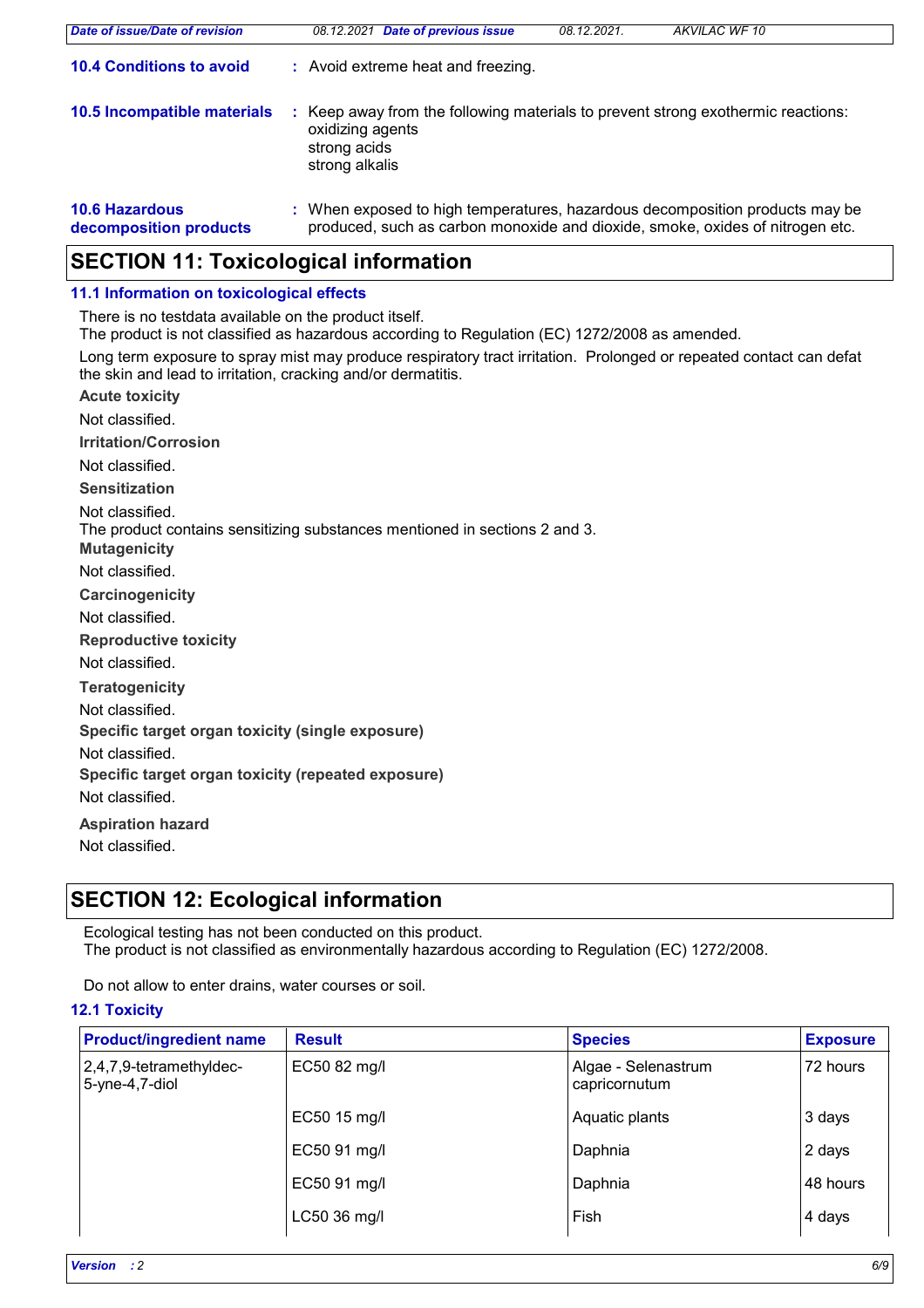| Date of issue/Date of revision                  | <b>Date of previous issue</b><br>08.12.2021                                                                                                                   | 08.12.2021 | AKVILAC WF 10 |
|-------------------------------------------------|---------------------------------------------------------------------------------------------------------------------------------------------------------------|------------|---------------|
| <b>10.4 Conditions to avoid</b>                 | : Avoid extreme heat and freezing.                                                                                                                            |            |               |
| 10.5 Incompatible materials                     | Keep away from the following materials to prevent strong exothermic reactions:<br>oxidizing agents<br>strong acids<br>strong alkalis                          |            |               |
| <b>10.6 Hazardous</b><br>decomposition products | : When exposed to high temperatures, hazardous decomposition products may be<br>produced, such as carbon monoxide and dioxide, smoke, oxides of nitrogen etc. |            |               |

# **SECTION 11: Toxicological information**

### **11.1 Information on toxicological effects**

There is no testdata available on the product itself.

The product is not classified as hazardous according to Regulation (EC) 1272/2008 as amended.

Long term exposure to spray mist may produce respiratory tract irritation. Prolonged or repeated contact can defat the skin and lead to irritation, cracking and/or dermatitis.

**Acute toxicity Carcinogenicity Mutagenicity Teratogenicity Reproductive toxicity Irritation/Corrosion Sensitization Specific target organ toxicity (single exposure) Specific target organ toxicity (repeated exposure) Aspiration hazard** Not classified. Not classified. Not classified. Not classified. Not classified. Not classified. Not classified. The product contains sensitizing substances mentioned in sections 2 and 3. Not classified. Not classified.

Not classified.

# **SECTION 12: Ecological information**

Ecological testing has not been conducted on this product. The product is not classified as environmentally hazardous according to Regulation (EC) 1272/2008.

Do not allow to enter drains, water courses or soil.

### **12.1 Toxicity**

| <b>Product/ingredient name</b>            | <b>Result</b> | <b>Species</b>                       | <b>Exposure</b> |
|-------------------------------------------|---------------|--------------------------------------|-----------------|
| 2,4,7,9-tetramethyldec-<br>5-yne-4,7-diol | EC50 82 mg/l  | Algae - Selenastrum<br>capricornutum | 72 hours        |
|                                           | EC50 15 mg/l  | Aquatic plants                       | 3 days          |
|                                           | EC50 91 mg/l  | Daphnia                              | 2 days          |
|                                           | EC50 91 mg/l  | Daphnia                              | 48 hours        |
|                                           | LC50 36 mg/l  | Fish                                 | 4 days          |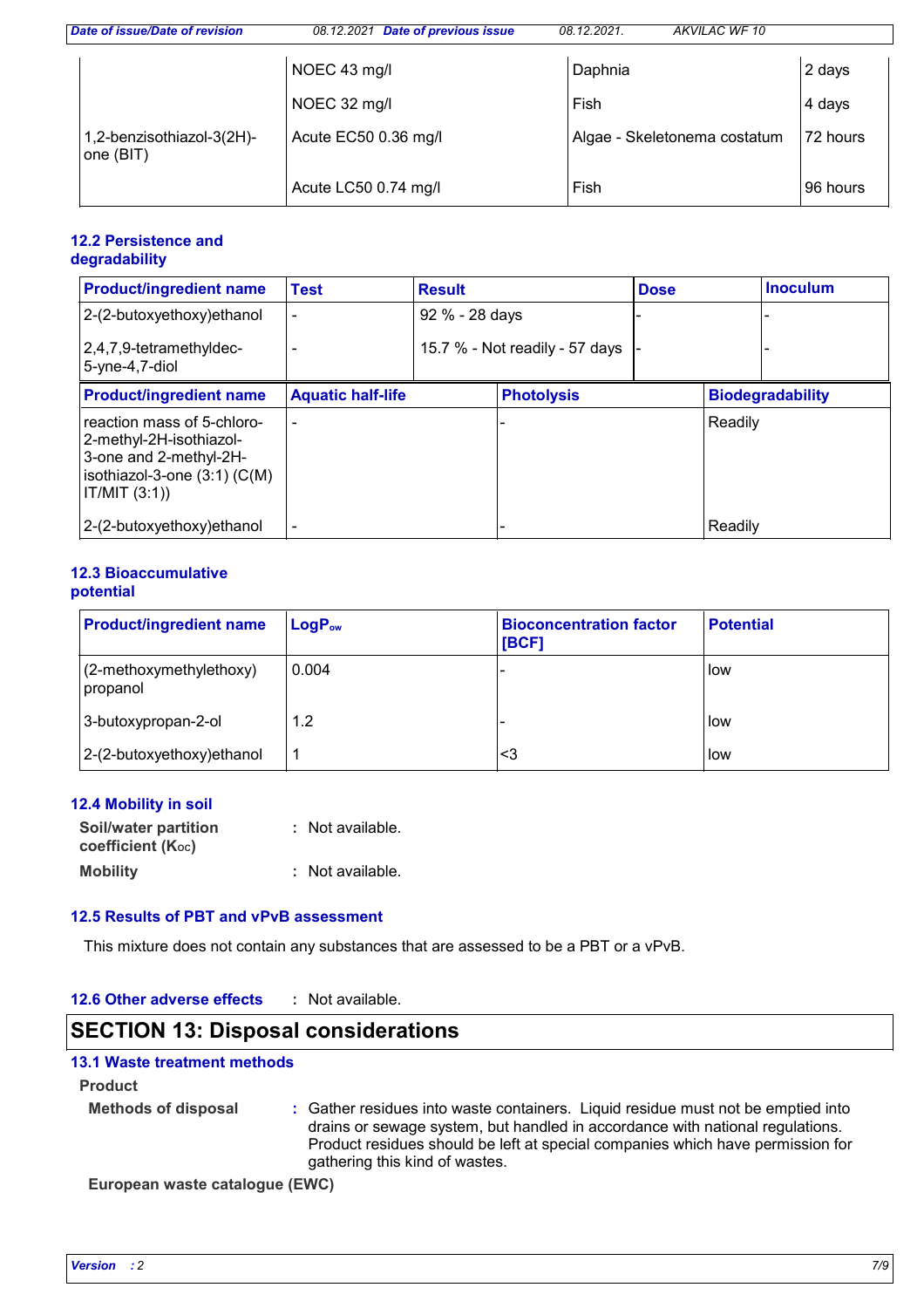| Date of issue/Date of revision         | 08.12.2021 Date of previous issue | 08.12.2021. | AKVILAC WF 10                |          |
|----------------------------------------|-----------------------------------|-------------|------------------------------|----------|
|                                        | NOEC 43 mg/l                      | Daphnia     |                              | 2 days   |
|                                        | NOEC 32 mg/l                      | Fish        |                              | 4 days   |
| 1,2-benzisothiazol-3(2H)-<br>one (BIT) | Acute EC50 0.36 mg/l              |             | Algae - Skeletonema costatum | 72 hours |
|                                        | Acute LC50 0.74 mg/l              | Fish        |                              | 96 hours |

### **12.2 Persistence and degradability**

| <b>Product/ingredient name</b>                                                                                                       | <b>Test</b>              | <b>Result</b>  |                                | <b>Dose</b> |         | <b>Inoculum</b>         |
|--------------------------------------------------------------------------------------------------------------------------------------|--------------------------|----------------|--------------------------------|-------------|---------|-------------------------|
| 2-(2-butoxyethoxy)ethanol                                                                                                            |                          | 92 % - 28 days |                                |             |         |                         |
| 2,4,7,9-tetramethyldec-<br>5-yne-4,7-diol                                                                                            |                          |                | 15.7 % - Not readily - 57 days |             |         |                         |
| <b>Product/ingredient name</b>                                                                                                       | <b>Aquatic half-life</b> |                | <b>Photolysis</b>              |             |         | <b>Biodegradability</b> |
| reaction mass of 5-chloro-<br>2-methyl-2H-isothiazol-<br>3-one and 2-methyl-2H-<br>isothiazol-3-one $(3:1)$ $(C(M))$<br>IT/MIT (3:1) |                          |                |                                |             | Readily |                         |
| 2-(2-butoxyethoxy) ethanol                                                                                                           |                          |                |                                |             | Readily |                         |

### **12.3 Bioaccumulative potential**

| <b>Product/ingredient name</b>      | $LogP_{ow}$ | <b>Bioconcentration factor</b><br>[BCF] | <b>Potential</b> |
|-------------------------------------|-------------|-----------------------------------------|------------------|
| (2-methoxymethylethoxy)<br>propanol | 0.004       |                                         | low              |
| 3-butoxypropan-2-ol                 | 1.2         |                                         | low              |
| 2-(2-butoxyethoxy) ethanol          |             | <3                                      | low              |

### **12.4 Mobility in soil**

| <b>Soil/water partition</b> | : Not available. |
|-----------------------------|------------------|
| <b>coefficient (Koc)</b>    |                  |
| <b>Mobility</b>             | : Not available. |

### **12.5 Results of PBT and vPvB assessment**

This mixture does not contain any substances that are assessed to be a PBT or a vPvB.

#### **12.6 Other adverse effects :**

# **SECTION 13: Disposal considerations**

### **13.1 Waste treatment methods**

**Product**

**Methods of disposal :**

Gather residues into waste containers. Liquid residue must not be emptied into drains or sewage system, but handled in accordance with national regulations. Product residues should be left at special companies which have permission for gathering this kind of wastes.

**European waste catalogue (EWC)**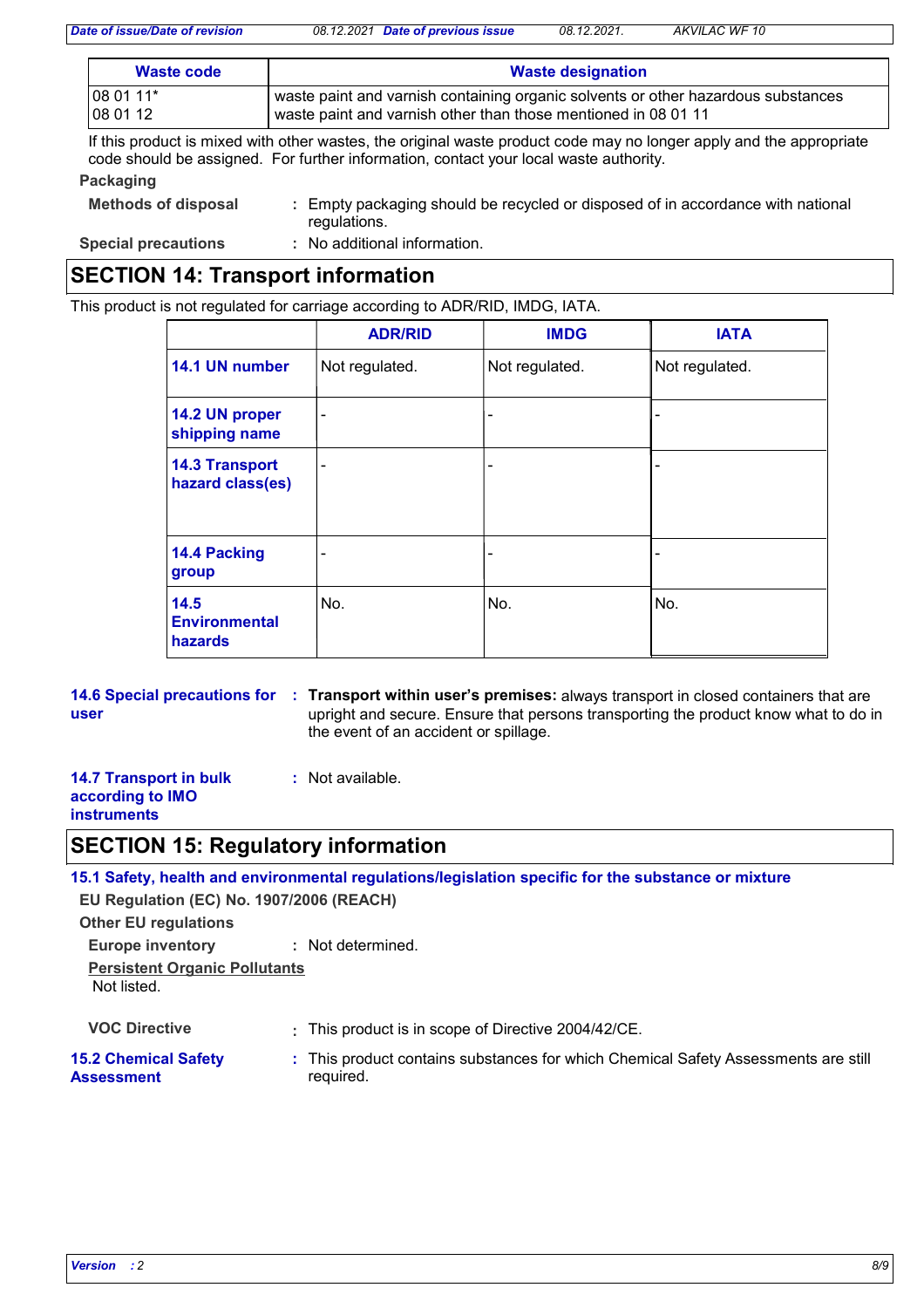*Date of issue/Date of revision 08.12.2021 Date of previous issue 08.12.2021. AKVILAC WF 10*

| Waste code | <b>Waste designation</b>                                                          |
|------------|-----------------------------------------------------------------------------------|
| 08 01 11*  | waste paint and varnish containing organic solvents or other hazardous substances |
| 08 01 12   | waste paint and varnish other than those mentioned in 08 01 11                    |

If this product is mixed with other wastes, the original waste product code may no longer apply and the appropriate code should be assigned. For further information, contact your local waste authority.

### **Packaging**

| <b>Methods of disposal</b> | : Empty packaging should be recycled or disposed of in accordance with national<br>regulations. |
|----------------------------|-------------------------------------------------------------------------------------------------|
| <b>Special precautions</b> | : No additional information.                                                                    |

# **SECTION 14: Transport information**

This product is not regulated for carriage according to ADR/RID, IMDG, IATA.

|                                           | <b>ADR/RID</b> | <b>IMDG</b>    | <b>IATA</b>    |
|-------------------------------------------|----------------|----------------|----------------|
| 14.1 UN number                            | Not regulated. | Not regulated. | Not regulated. |
| 14.2 UN proper<br>shipping name           | $\blacksquare$ |                |                |
| <b>14.3 Transport</b><br>hazard class(es) | ۰              | ۰              |                |
| 14.4 Packing<br>group                     | ۰              | ۰              |                |
| 14.5<br><b>Environmental</b><br>hazards   | No.            | No.            | No.            |

**14.6 Special precautions for Transport within user's premises:** always transport in closed containers that are **: user** upright and secure. Ensure that persons transporting the product know what to do in the event of an accident or spillage.

#### **14.7 Transport in bulk :** Not available.

### **according to IMO instruments**

## **SECTION 15: Regulatory information**

**15.1 Safety, health and environmental regulations/legislation specific for the substance or mixture**

**EU Regulation (EC) No. 1907/2006 (REACH)**

**Other EU regulations**

**Europe inventory :** Not determined.

**Persistent Organic Pollutants** Not listed.

**VOC Directive :** This product is in scope of Directive 2004/42/CE.

### **15.2 Chemical Safety Assessment**

- 
-